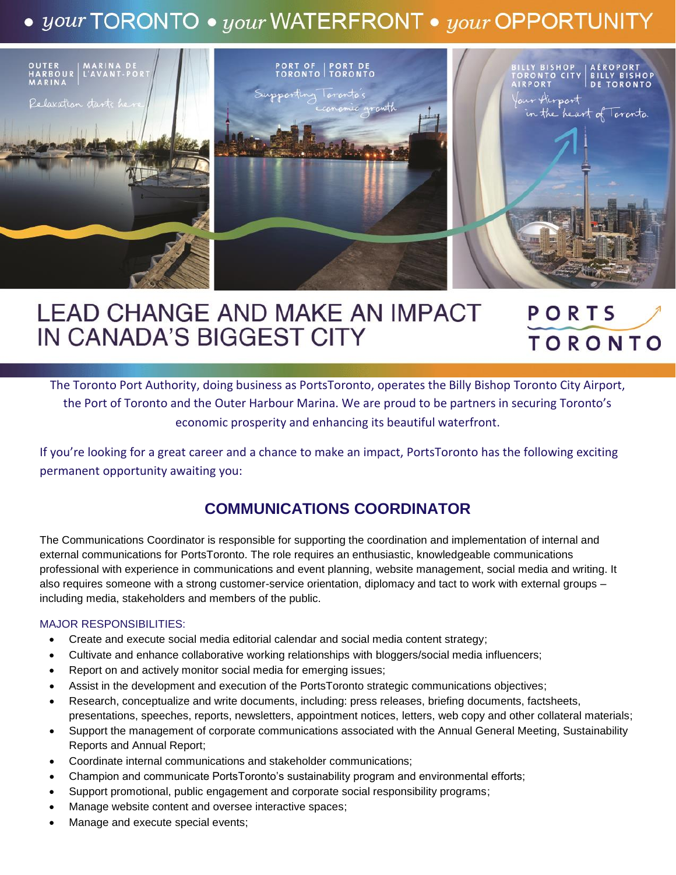# $\bullet$  your TORONTO  $\bullet$  your WATERFRONT  $\bullet$  your OPPORTUNITY



#### **LEAD CHANGE AND MAKE AN IMPACT** PORTS IN CANADA'S BIGGEST CITY **TORONTO**

The Toronto Port Authority, doing business as PortsToronto, operates the Billy Bishop Toronto City Airport, the Port of Toronto and the Outer Harbour Marina. We are proud to be partners in securing Toronto's economic prosperity and enhancing its beautiful waterfront.

If you're looking for a great career and a chance to make an impact, PortsToronto has the following exciting permanent opportunity awaiting you:

## **COMMUNICATIONS COORDINATOR**

The Communications Coordinator is responsible for supporting the coordination and implementation of internal and external communications for PortsToronto. The role requires an enthusiastic, knowledgeable communications professional with experience in communications and event planning, website management, social media and writing. It also requires someone with a strong customer-service orientation, diplomacy and tact to work with external groups – including media, stakeholders and members of the public.

#### MAJOR RESPONSIBILITIES:

- Create and execute social media editorial calendar and social media content strategy;
- Cultivate and enhance collaborative working relationships with bloggers/social media influencers;
- Report on and actively monitor social media for emerging issues;
- Assist in the development and execution of the PortsToronto strategic communications objectives;
- Research, conceptualize and write documents, including: press releases, briefing documents, factsheets, presentations, speeches, reports, newsletters, appointment notices, letters, web copy and other collateral materials;
- Support the management of corporate communications associated with the Annual General Meeting, Sustainability Reports and Annual Report;
- Coordinate internal communications and stakeholder communications;
- Champion and communicate PortsToronto's sustainability program and environmental efforts;
- Support promotional, public engagement and corporate social responsibility programs;
- Manage website content and oversee interactive spaces;
- Manage and execute special events;